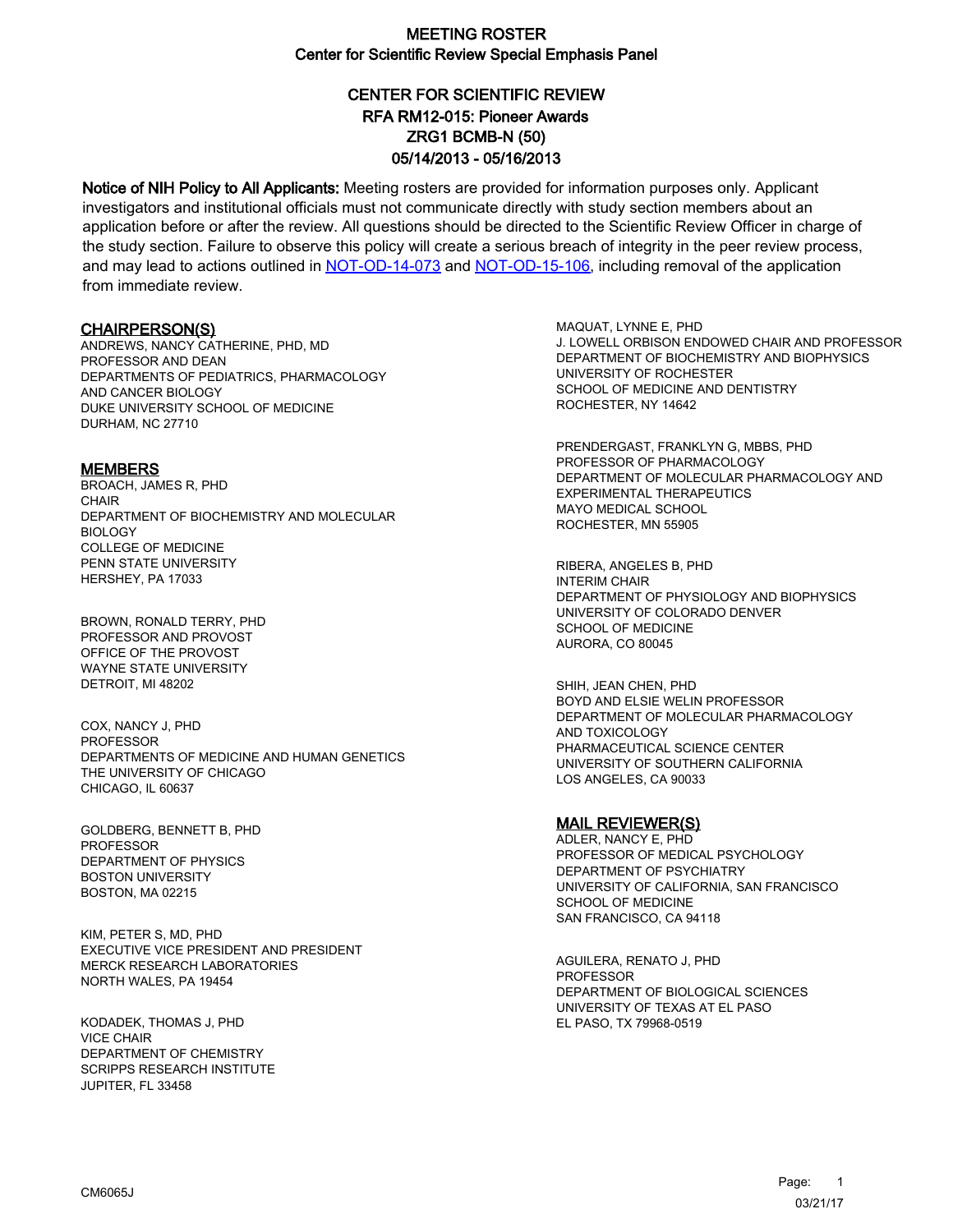# CENTER FOR SCIENTIFIC REVIEW ZRG1 BCMB-N (50) 05/14/2013 - 05/16/2013 RFA RM12-015: Pioneer Awards

Notice of NIH Policy to All Applicants: Meeting rosters are provided for information purposes only. Applicant investigators and institutional officials must not communicate directly with study section members about an application before or after the review. All questions should be directed to the Scientific Review Officer in charge of the study section. Failure to observe this policy will create a serious breach of integrity in the peer review process, and may lead to actions outlined in [NOT-OD-14-073](https://grants.nih.gov/grants/guide/notice-files/NOT-OD-14-073.html) and [NOT-OD-15-106,](https://grants.nih.gov/grants/guide/notice-files/NOT-OD-15-106.html) including removal of the application from immediate review.

#### CHAIRPERSON(S)

ANDREWS, NANCY CATHERINE, PHD, MD PROFESSOR AND DEAN DEPARTMENTS OF PEDIATRICS, PHARMACOLOGY AND CANCER BIOLOGY DUKE UNIVERSITY SCHOOL OF MEDICINE DURHAM, NC 27710

#### **MEMBERS**

BROACH, JAMES R, PHD **CHAIR** DEPARTMENT OF BIOCHEMISTRY AND MOLECULAR BIOLOGY COLLEGE OF MEDICINE PENN STATE UNIVERSITY HERSHEY, PA 17033

BROWN, RONALD TERRY, PHD PROFESSOR AND PROVOST OFFICE OF THE PROVOST WAYNE STATE UNIVERSITY DETROIT, MI 48202

COX, NANCY J, PHD PROFESSOR DEPARTMENTS OF MEDICINE AND HUMAN GENETICS THE UNIVERSITY OF CHICAGO CHICAGO, IL 60637

GOLDBERG, BENNETT B, PHD PROFESSOR DEPARTMENT OF PHYSICS BOSTON UNIVERSITY BOSTON, MA 02215

KIM, PETER S, MD, PHD EXECUTIVE VICE PRESIDENT AND PRESIDENT MERCK RESEARCH LABORATORIES NORTH WALES, PA 19454

KODADEK, THOMAS J, PHD VICE CHAIR DEPARTMENT OF CHEMISTRY SCRIPPS RESEARCH INSTITUTE JUPITER, FL 33458

MAQUAT, LYNNE E, PHD J. LOWELL ORBISON ENDOWED CHAIR AND PROFESSOR DEPARTMENT OF BIOCHEMISTRY AND BIOPHYSICS UNIVERSITY OF ROCHESTER SCHOOL OF MEDICINE AND DENTISTRY ROCHESTER, NY 14642

PRENDERGAST, FRANKLYN G, MBBS, PHD PROFESSOR OF PHARMACOLOGY DEPARTMENT OF MOLECULAR PHARMACOLOGY AND EXPERIMENTAL THERAPEUTICS MAYO MEDICAL SCHOOL ROCHESTER, MN 55905

RIBERA, ANGELES B, PHD INTERIM CHAIR DEPARTMENT OF PHYSIOLOGY AND BIOPHYSICS UNIVERSITY OF COLORADO DENVER SCHOOL OF MEDICINE AURORA, CO 80045

SHIH, JEAN CHEN, PHD BOYD AND ELSIE WELIN PROFESSOR DEPARTMENT OF MOLECULAR PHARMACOLOGY AND TOXICOLOGY PHARMACEUTICAL SCIENCE CENTER UNIVERSITY OF SOUTHERN CALIFORNIA LOS ANGELES, CA 90033

#### MAIL REVIEWER(S)

ADLER, NANCY E, PHD PROFESSOR OF MEDICAL PSYCHOLOGY DEPARTMENT OF PSYCHIATRY UNIVERSITY OF CALIFORNIA, SAN FRANCISCO SCHOOL OF MEDICINE SAN FRANCISCO, CA 94118

AGUILERA, RENATO J, PHD **PROFESSOR** DEPARTMENT OF BIOLOGICAL SCIENCES UNIVERSITY OF TEXAS AT EL PASO EL PASO, TX 79968-0519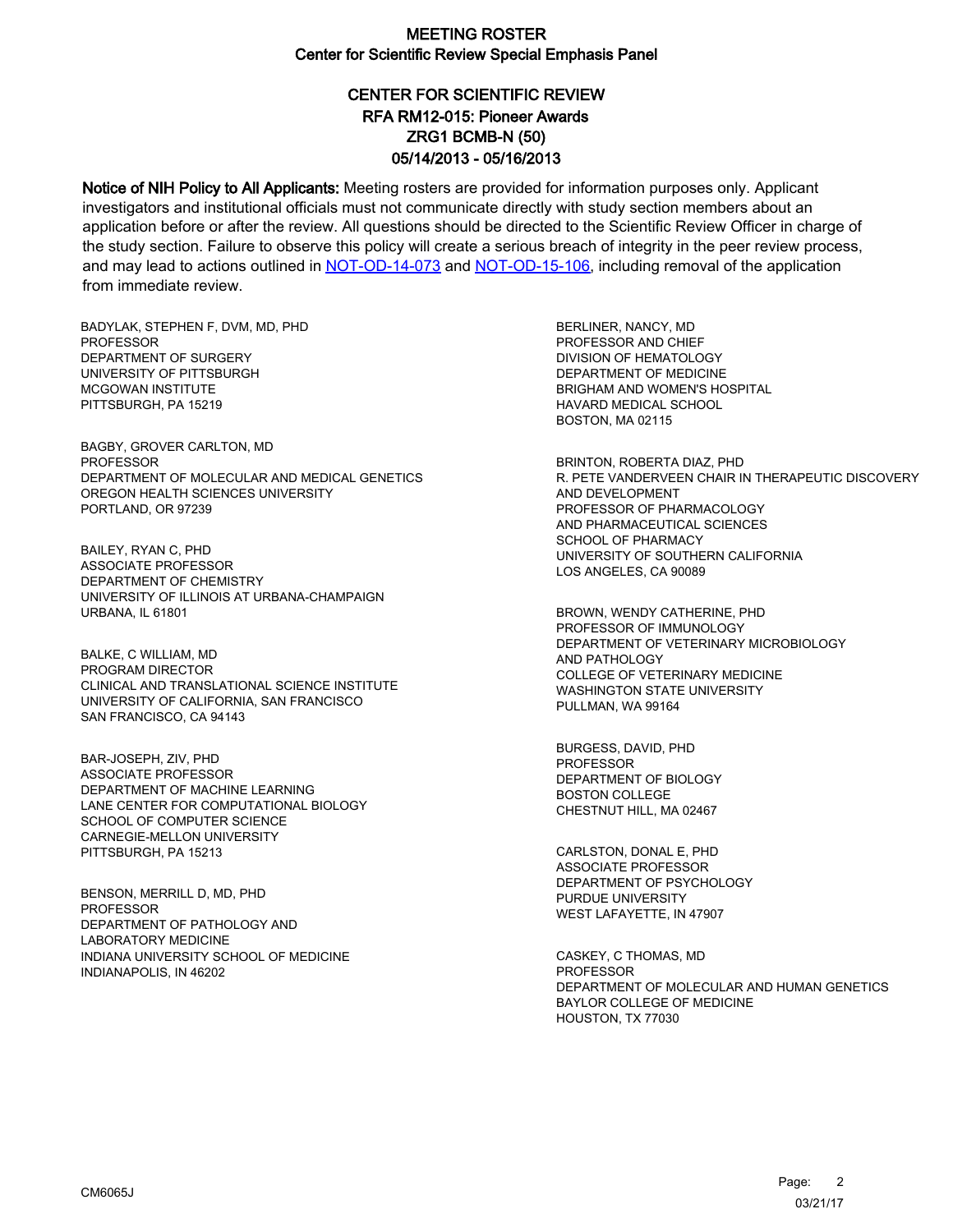# CENTER FOR SCIENTIFIC REVIEW ZRG1 BCMB-N (50) 05/14/2013 - 05/16/2013 RFA RM12-015: Pioneer Awards

Notice of NIH Policy to All Applicants: Meeting rosters are provided for information purposes only. Applicant investigators and institutional officials must not communicate directly with study section members about an application before or after the review. All questions should be directed to the Scientific Review Officer in charge of the study section. Failure to observe this policy will create a serious breach of integrity in the peer review process, and may lead to actions outlined in [NOT-OD-14-073](https://grants.nih.gov/grants/guide/notice-files/NOT-OD-14-073.html) and [NOT-OD-15-106,](https://grants.nih.gov/grants/guide/notice-files/NOT-OD-15-106.html) including removal of the application from immediate review.

BADYLAK, STEPHEN F, DVM, MD, PHD **PROFESSOR** DEPARTMENT OF SURGERY UNIVERSITY OF PITTSBURGH MCGOWAN INSTITUTE PITTSBURGH, PA 15219

BAGBY, GROVER CARLTON, MD PROFESSOR DEPARTMENT OF MOLECULAR AND MEDICAL GENETICS OREGON HEALTH SCIENCES UNIVERSITY PORTLAND, OR 97239

BAILEY, RYAN C, PHD ASSOCIATE PROFESSOR DEPARTMENT OF CHEMISTRY UNIVERSITY OF ILLINOIS AT URBANA-CHAMPAIGN URBANA, IL 61801

BALKE, C WILLIAM, MD PROGRAM DIRECTOR CLINICAL AND TRANSLATIONAL SCIENCE INSTITUTE UNIVERSITY OF CALIFORNIA, SAN FRANCISCO SAN FRANCISCO, CA 94143

BAR-JOSEPH, ZIV, PHD ASSOCIATE PROFESSOR DEPARTMENT OF MACHINE LEARNING LANE CENTER FOR COMPUTATIONAL BIOLOGY SCHOOL OF COMPUTER SCIENCE CARNEGIE-MELLON UNIVERSITY PITTSBURGH, PA 15213

BENSON, MERRILL D, MD, PHD **PROFESSOR** DEPARTMENT OF PATHOLOGY AND LABORATORY MEDICINE INDIANA UNIVERSITY SCHOOL OF MEDICINE INDIANAPOLIS, IN 46202

BERLINER, NANCY, MD PROFESSOR AND CHIEF DIVISION OF HEMATOLOGY DEPARTMENT OF MEDICINE BRIGHAM AND WOMEN'S HOSPITAL HAVARD MEDICAL SCHOOL BOSTON, MA 02115

BRINTON, ROBERTA DIAZ, PHD R. PETE VANDERVEEN CHAIR IN THERAPEUTIC DISCOVERY AND DEVELOPMENT PROFESSOR OF PHARMACOLOGY AND PHARMACEUTICAL SCIENCES SCHOOL OF PHARMACY UNIVERSITY OF SOUTHERN CALIFORNIA LOS ANGELES, CA 90089

BROWN, WENDY CATHERINE, PHD PROFESSOR OF IMMUNOLOGY DEPARTMENT OF VETERINARY MICROBIOLOGY AND PATHOLOGY COLLEGE OF VETERINARY MEDICINE WASHINGTON STATE UNIVERSITY PULLMAN, WA 99164

BURGESS, DAVID, PHD PROFESSOR DEPARTMENT OF BIOLOGY BOSTON COLLEGE CHESTNUT HILL, MA 02467

CARLSTON, DONAL E, PHD ASSOCIATE PROFESSOR DEPARTMENT OF PSYCHOLOGY PURDUE UNIVERSITY WEST LAFAYETTE, IN 47907

CASKEY, C THOMAS, MD **PROFESSOR** DEPARTMENT OF MOLECULAR AND HUMAN GENETICS BAYLOR COLLEGE OF MEDICINE HOUSTON, TX 77030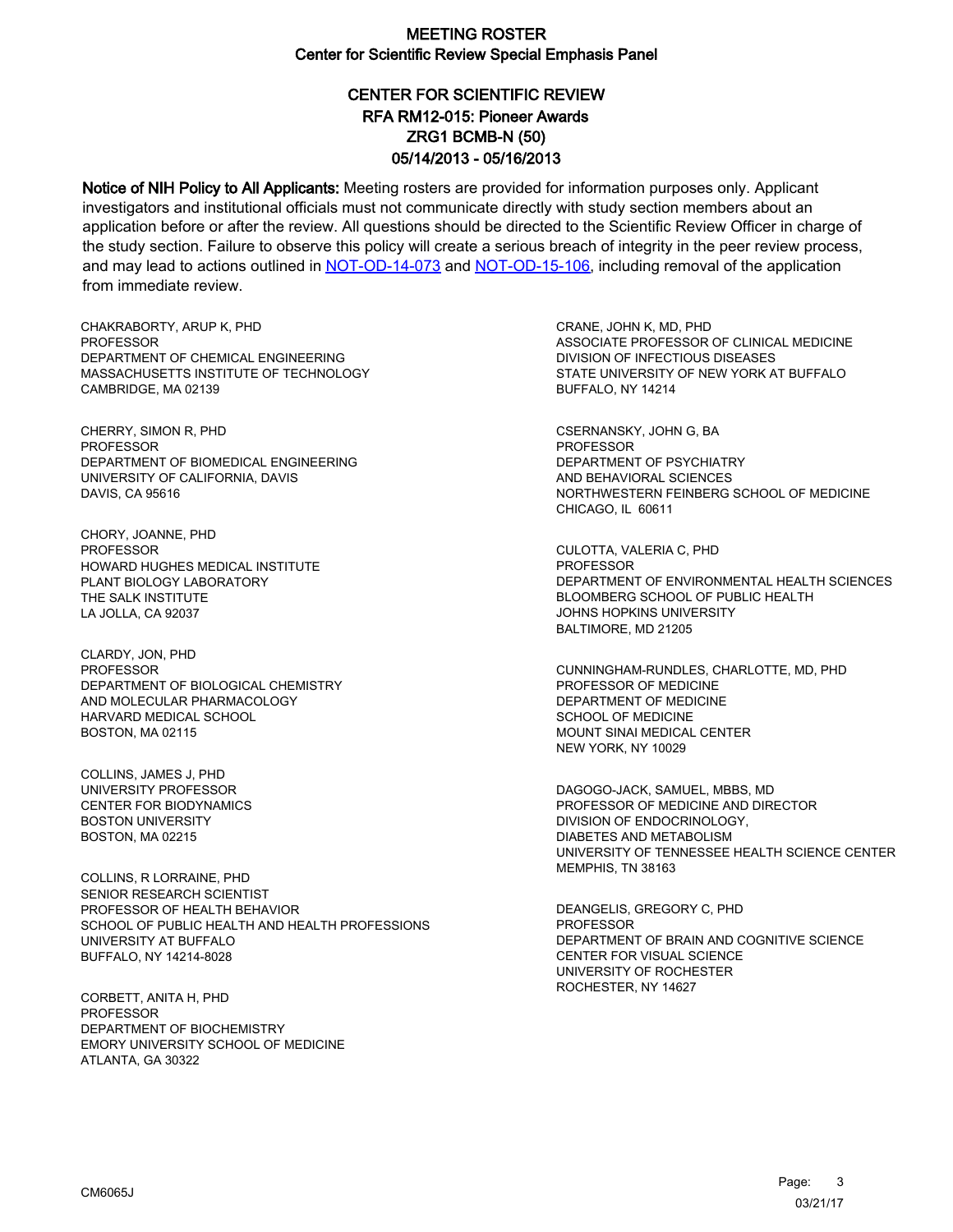# CENTER FOR SCIENTIFIC REVIEW ZRG1 BCMB-N (50) 05/14/2013 - 05/16/2013 RFA RM12-015: Pioneer Awards

Notice of NIH Policy to All Applicants: Meeting rosters are provided for information purposes only. Applicant investigators and institutional officials must not communicate directly with study section members about an application before or after the review. All questions should be directed to the Scientific Review Officer in charge of the study section. Failure to observe this policy will create a serious breach of integrity in the peer review process, and may lead to actions outlined in [NOT-OD-14-073](https://grants.nih.gov/grants/guide/notice-files/NOT-OD-14-073.html) and [NOT-OD-15-106,](https://grants.nih.gov/grants/guide/notice-files/NOT-OD-15-106.html) including removal of the application from immediate review.

CHAKRABORTY, ARUP K, PHD **PROFESSOR** DEPARTMENT OF CHEMICAL ENGINEERING MASSACHUSETTS INSTITUTE OF TECHNOLOGY CAMBRIDGE, MA 02139

CHERRY, SIMON R, PHD PROFESSOR DEPARTMENT OF BIOMEDICAL ENGINEERING UNIVERSITY OF CALIFORNIA, DAVIS DAVIS, CA 95616

CHORY, JOANNE, PHD PROFESSOR HOWARD HUGHES MEDICAL INSTITUTE PLANT BIOLOGY LABORATORY THE SALK INSTITUTE LA JOLLA, CA 92037

CLARDY, JON, PHD PROFESSOR DEPARTMENT OF BIOLOGICAL CHEMISTRY AND MOLECULAR PHARMACOLOGY HARVARD MEDICAL SCHOOL BOSTON, MA 02115

COLLINS, JAMES J, PHD UNIVERSITY PROFESSOR CENTER FOR BIODYNAMICS BOSTON UNIVERSITY BOSTON, MA 02215

COLLINS, R LORRAINE, PHD SENIOR RESEARCH SCIENTIST PROFESSOR OF HEALTH BEHAVIOR SCHOOL OF PUBLIC HEALTH AND HEALTH PROFESSIONS UNIVERSITY AT BUFFALO BUFFALO, NY 14214-8028

CORBETT, ANITA H, PHD **PROFESSOR** DEPARTMENT OF BIOCHEMISTRY EMORY UNIVERSITY SCHOOL OF MEDICINE ATLANTA, GA 30322

CRANE, JOHN K, MD, PHD ASSOCIATE PROFESSOR OF CLINICAL MEDICINE DIVISION OF INFECTIOUS DISEASES STATE UNIVERSITY OF NEW YORK AT BUFFALO BUFFALO, NY 14214

CSERNANSKY, JOHN G, BA PROFESSOR DEPARTMENT OF PSYCHIATRY AND BEHAVIORAL SCIENCES NORTHWESTERN FEINBERG SCHOOL OF MEDICINE CHICAGO, IL 60611

CULOTTA, VALERIA C, PHD PROFESSOR DEPARTMENT OF ENVIRONMENTAL HEALTH SCIENCES BLOOMBERG SCHOOL OF PUBLIC HEALTH JOHNS HOPKINS UNIVERSITY BALTIMORE, MD 21205

CUNNINGHAM-RUNDLES, CHARLOTTE, MD, PHD PROFESSOR OF MEDICINE DEPARTMENT OF MEDICINE SCHOOL OF MEDICINE MOUNT SINAI MEDICAL CENTER NEW YORK, NY 10029

DAGOGO-JACK, SAMUEL, MBBS, MD PROFESSOR OF MEDICINE AND DIRECTOR DIVISION OF ENDOCRINOLOGY, DIABETES AND METABOLISM UNIVERSITY OF TENNESSEE HEALTH SCIENCE CENTER MEMPHIS, TN 38163

DEANGELIS, GREGORY C, PHD PROFESSOR DEPARTMENT OF BRAIN AND COGNITIVE SCIENCE CENTER FOR VISUAL SCIENCE UNIVERSITY OF ROCHESTER ROCHESTER, NY 14627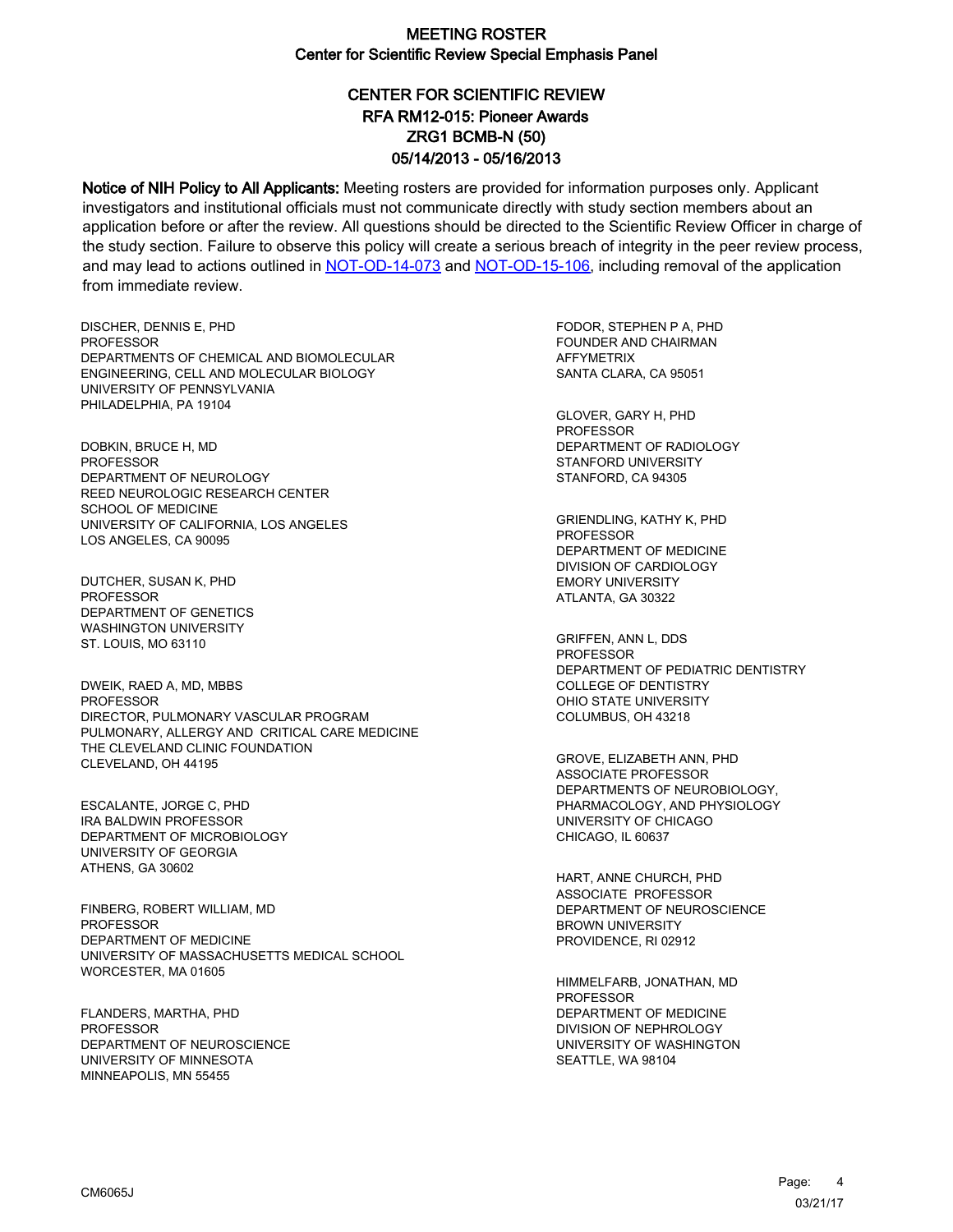# CENTER FOR SCIENTIFIC REVIEW ZRG1 BCMB-N (50) 05/14/2013 - 05/16/2013 RFA RM12-015: Pioneer Awards

Notice of NIH Policy to All Applicants: Meeting rosters are provided for information purposes only. Applicant investigators and institutional officials must not communicate directly with study section members about an application before or after the review. All questions should be directed to the Scientific Review Officer in charge of the study section. Failure to observe this policy will create a serious breach of integrity in the peer review process, and may lead to actions outlined in [NOT-OD-14-073](https://grants.nih.gov/grants/guide/notice-files/NOT-OD-14-073.html) and [NOT-OD-15-106,](https://grants.nih.gov/grants/guide/notice-files/NOT-OD-15-106.html) including removal of the application from immediate review.

DISCHER, DENNIS E, PHD **PROFESSOR** DEPARTMENTS OF CHEMICAL AND BIOMOLECULAR ENGINEERING, CELL AND MOLECULAR BIOLOGY UNIVERSITY OF PENNSYLVANIA PHILADELPHIA, PA 19104

DOBKIN, BRUCE H, MD PROFESSOR DEPARTMENT OF NEUROLOGY REED NEUROLOGIC RESEARCH CENTER SCHOOL OF MEDICINE UNIVERSITY OF CALIFORNIA, LOS ANGELES LOS ANGELES, CA 90095

DUTCHER, SUSAN K, PHD **PROFESSOR** DEPARTMENT OF GENETICS WASHINGTON UNIVERSITY ST. LOUIS, MO 63110

DWEIK, RAED A, MD, MBBS PROFESSOR DIRECTOR, PULMONARY VASCULAR PROGRAM PULMONARY, ALLERGY AND CRITICAL CARE MEDICINE THE CLEVELAND CLINIC FOUNDATION CLEVELAND, OH 44195

ESCALANTE, JORGE C, PHD IRA BALDWIN PROFESSOR DEPARTMENT OF MICROBIOLOGY UNIVERSITY OF GEORGIA ATHENS, GA 30602

FINBERG, ROBERT WILLIAM, MD PROFESSOR DEPARTMENT OF MEDICINE UNIVERSITY OF MASSACHUSETTS MEDICAL SCHOOL WORCESTER, MA 01605

FLANDERS, MARTHA, PHD PROFESSOR DEPARTMENT OF NEUROSCIENCE UNIVERSITY OF MINNESOTA MINNEAPOLIS, MN 55455

FODOR, STEPHEN P A, PHD FOUNDER AND CHAIRMAN AFFYMETRIX SANTA CLARA, CA 95051

GLOVER, GARY H, PHD PROFESSOR DEPARTMENT OF RADIOLOGY STANFORD UNIVERSITY STANFORD, CA 94305

GRIENDLING, KATHY K, PHD PROFESSOR DEPARTMENT OF MEDICINE DIVISION OF CARDIOLOGY EMORY UNIVERSITY ATLANTA, GA 30322

GRIFFEN, ANN L, DDS **PROFESSOR** DEPARTMENT OF PEDIATRIC DENTISTRY COLLEGE OF DENTISTRY OHIO STATE UNIVERSITY COLUMBUS, OH 43218

GROVE, ELIZABETH ANN, PHD ASSOCIATE PROFESSOR DEPARTMENTS OF NEUROBIOLOGY, PHARMACOLOGY, AND PHYSIOLOGY UNIVERSITY OF CHICAGO CHICAGO, IL 60637

HART, ANNE CHURCH, PHD ASSOCIATE PROFESSOR DEPARTMENT OF NEUROSCIENCE BROWN UNIVERSITY PROVIDENCE, RI 02912

HIMMELFARB, JONATHAN, MD PROFESSOR DEPARTMENT OF MEDICINE DIVISION OF NEPHROLOGY UNIVERSITY OF WASHINGTON SEATTLE, WA 98104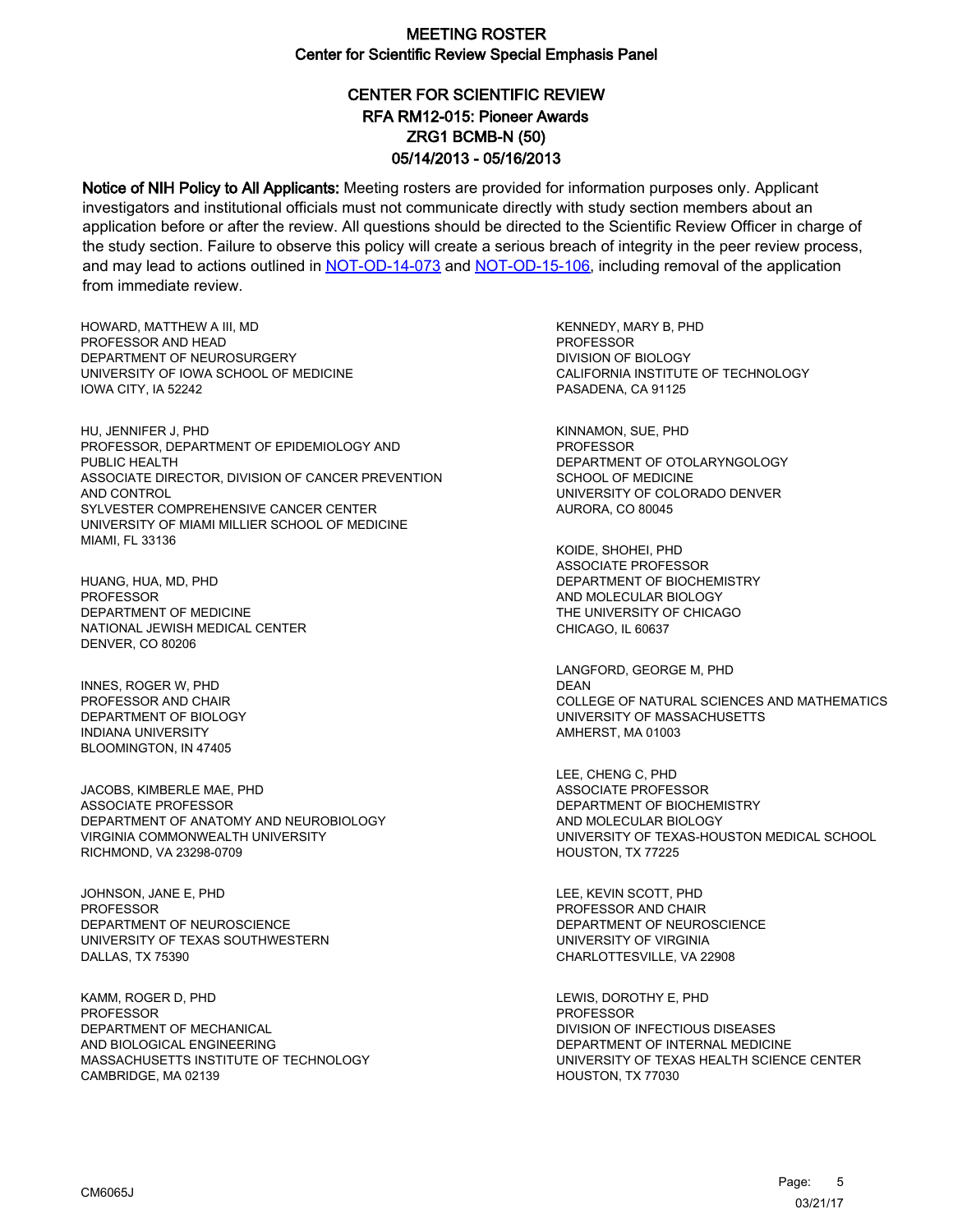# CENTER FOR SCIENTIFIC REVIEW ZRG1 BCMB-N (50) 05/14/2013 - 05/16/2013 RFA RM12-015: Pioneer Awards

Notice of NIH Policy to All Applicants: Meeting rosters are provided for information purposes only. Applicant investigators and institutional officials must not communicate directly with study section members about an application before or after the review. All questions should be directed to the Scientific Review Officer in charge of the study section. Failure to observe this policy will create a serious breach of integrity in the peer review process, and may lead to actions outlined in [NOT-OD-14-073](https://grants.nih.gov/grants/guide/notice-files/NOT-OD-14-073.html) and [NOT-OD-15-106,](https://grants.nih.gov/grants/guide/notice-files/NOT-OD-15-106.html) including removal of the application from immediate review.

HOWARD, MATTHEW A III, MD PROFESSOR AND HEAD DEPARTMENT OF NEUROSURGERY UNIVERSITY OF IOWA SCHOOL OF MEDICINE IOWA CITY, IA 52242

HU, JENNIFER J, PHD PROFESSOR, DEPARTMENT OF EPIDEMIOLOGY AND PUBLIC HEALTH ASSOCIATE DIRECTOR, DIVISION OF CANCER PREVENTION AND CONTROL SYLVESTER COMPREHENSIVE CANCER CENTER UNIVERSITY OF MIAMI MILLIER SCHOOL OF MEDICINE MIAMI, FL 33136

HUANG, HUA, MD, PHD **PROFESSOR** DEPARTMENT OF MEDICINE NATIONAL JEWISH MEDICAL CENTER DENVER, CO 80206

INNES, ROGER W, PHD PROFESSOR AND CHAIR DEPARTMENT OF BIOLOGY INDIANA UNIVERSITY BLOOMINGTON, IN 47405

JACOBS, KIMBERLE MAE, PHD ASSOCIATE PROFESSOR DEPARTMENT OF ANATOMY AND NEUROBIOLOGY VIRGINIA COMMONWEALTH UNIVERSITY RICHMOND, VA 23298-0709

JOHNSON, JANE E, PHD **PROFESSOR** DEPARTMENT OF NEUROSCIENCE UNIVERSITY OF TEXAS SOUTHWESTERN DALLAS, TX 75390

KAMM, ROGER D, PHD **PROFESSOR** DEPARTMENT OF MECHANICAL AND BIOLOGICAL ENGINEERING MASSACHUSETTS INSTITUTE OF TECHNOLOGY CAMBRIDGE, MA 02139

KENNEDY, MARY B, PHD PROFESSOR DIVISION OF BIOLOGY CALIFORNIA INSTITUTE OF TECHNOLOGY PASADENA, CA 91125

KINNAMON, SUE, PHD PROFESSOR DEPARTMENT OF OTOLARYNGOLOGY SCHOOL OF MEDICINE UNIVERSITY OF COLORADO DENVER AURORA, CO 80045

KOIDE, SHOHEI, PHD ASSOCIATE PROFESSOR DEPARTMENT OF BIOCHEMISTRY AND MOLECULAR BIOLOGY THE UNIVERSITY OF CHICAGO CHICAGO, IL 60637

LANGFORD, GEORGE M, PHD DEAN COLLEGE OF NATURAL SCIENCES AND MATHEMATICS UNIVERSITY OF MASSACHUSETTS AMHERST, MA 01003

LEE, CHENG C, PHD ASSOCIATE PROFESSOR DEPARTMENT OF BIOCHEMISTRY AND MOLECULAR BIOLOGY UNIVERSITY OF TEXAS-HOUSTON MEDICAL SCHOOL HOUSTON, TX 77225

LEE, KEVIN SCOTT, PHD PROFESSOR AND CHAIR DEPARTMENT OF NEUROSCIENCE UNIVERSITY OF VIRGINIA CHARLOTTESVILLE, VA 22908

LEWIS, DOROTHY E, PHD PROFESSOR DIVISION OF INFECTIOUS DISEASES DEPARTMENT OF INTERNAL MEDICINE UNIVERSITY OF TEXAS HEALTH SCIENCE CENTER HOUSTON, TX 77030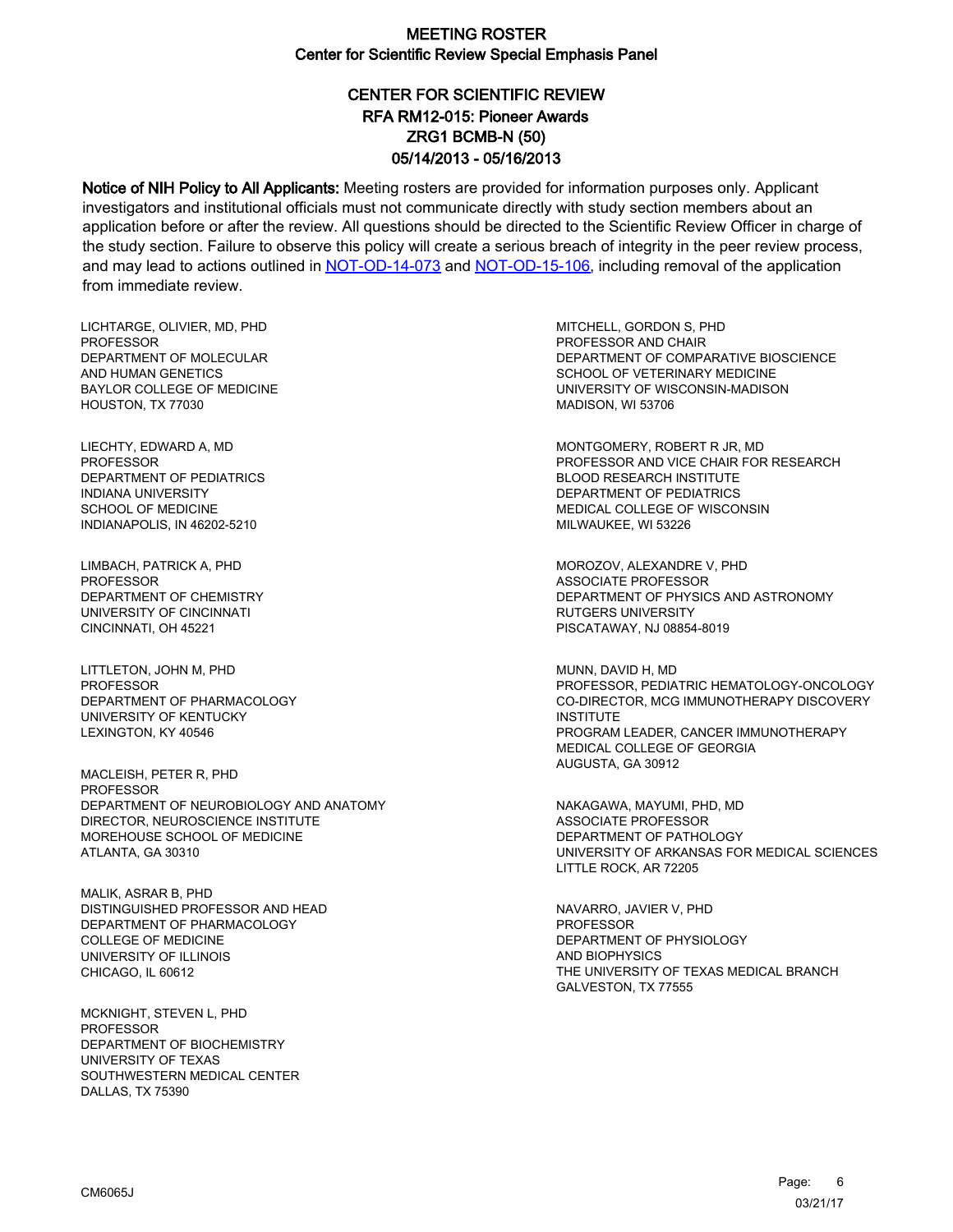# CENTER FOR SCIENTIFIC REVIEW ZRG1 BCMB-N (50) 05/14/2013 - 05/16/2013 RFA RM12-015: Pioneer Awards

Notice of NIH Policy to All Applicants: Meeting rosters are provided for information purposes only. Applicant investigators and institutional officials must not communicate directly with study section members about an application before or after the review. All questions should be directed to the Scientific Review Officer in charge of the study section. Failure to observe this policy will create a serious breach of integrity in the peer review process, and may lead to actions outlined in [NOT-OD-14-073](https://grants.nih.gov/grants/guide/notice-files/NOT-OD-14-073.html) and [NOT-OD-15-106,](https://grants.nih.gov/grants/guide/notice-files/NOT-OD-15-106.html) including removal of the application from immediate review.

LICHTARGE, OLIVIER, MD, PHD **PROFESSOR** DEPARTMENT OF MOLECULAR AND HUMAN GENETICS BAYLOR COLLEGE OF MEDICINE HOUSTON, TX 77030

LIECHTY, EDWARD A, MD PROFESSOR DEPARTMENT OF PEDIATRICS INDIANA UNIVERSITY SCHOOL OF MEDICINE INDIANAPOLIS, IN 46202-5210

LIMBACH, PATRICK A, PHD **PROFESSOR** DEPARTMENT OF CHEMISTRY UNIVERSITY OF CINCINNATI CINCINNATI, OH 45221

LITTLETON, JOHN M, PHD PROFESSOR DEPARTMENT OF PHARMACOLOGY UNIVERSITY OF KENTUCKY LEXINGTON, KY 40546

MACLEISH, PETER R, PHD PROFESSOR DEPARTMENT OF NEUROBIOLOGY AND ANATOMY DIRECTOR, NEUROSCIENCE INSTITUTE MOREHOUSE SCHOOL OF MEDICINE ATLANTA, GA 30310

MALIK, ASRAR B, PHD DISTINGUISHED PROFESSOR AND HEAD DEPARTMENT OF PHARMACOLOGY COLLEGE OF MEDICINE UNIVERSITY OF ILLINOIS CHICAGO, IL 60612

MCKNIGHT, STEVEN L, PHD **PROFESSOR** DEPARTMENT OF BIOCHEMISTRY UNIVERSITY OF TEXAS SOUTHWESTERN MEDICAL CENTER DALLAS, TX 75390

MITCHELL, GORDON S, PHD PROFESSOR AND CHAIR DEPARTMENT OF COMPARATIVE BIOSCIENCE SCHOOL OF VETERINARY MEDICINE UNIVERSITY OF WISCONSIN-MADISON MADISON, WI 53706

MONTGOMERY, ROBERT R JR, MD PROFESSOR AND VICE CHAIR FOR RESEARCH BLOOD RESEARCH INSTITUTE DEPARTMENT OF PEDIATRICS MEDICAL COLLEGE OF WISCONSIN MILWAUKEE, WI 53226

MOROZOV, ALEXANDRE V, PHD ASSOCIATE PROFESSOR DEPARTMENT OF PHYSICS AND ASTRONOMY RUTGERS UNIVERSITY PISCATAWAY, NJ 08854-8019

MUNN, DAVID H, MD PROFESSOR, PEDIATRIC HEMATOLOGY-ONCOLOGY CO-DIRECTOR, MCG IMMUNOTHERAPY DISCOVERY **INSTITUTE** PROGRAM LEADER, CANCER IMMUNOTHERAPY MEDICAL COLLEGE OF GEORGIA AUGUSTA, GA 30912

NAKAGAWA, MAYUMI, PHD, MD ASSOCIATE PROFESSOR DEPARTMENT OF PATHOLOGY UNIVERSITY OF ARKANSAS FOR MEDICAL SCIENCES LITTLE ROCK, AR 72205

NAVARRO, JAVIER V, PHD PROFESSOR DEPARTMENT OF PHYSIOLOGY AND BIOPHYSICS THE UNIVERSITY OF TEXAS MEDICAL BRANCH GALVESTON, TX 77555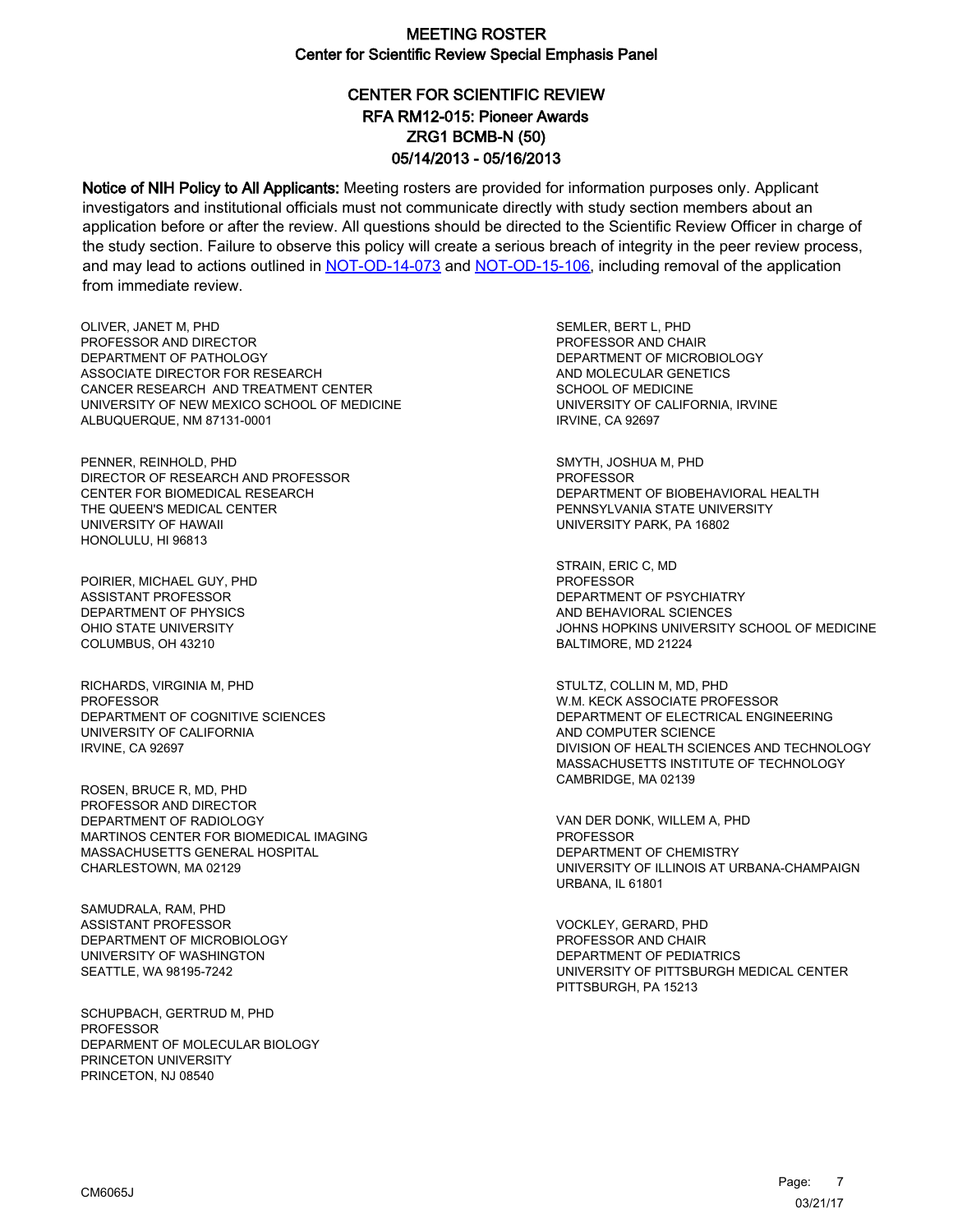# CENTER FOR SCIENTIFIC REVIEW ZRG1 BCMB-N (50) 05/14/2013 - 05/16/2013 RFA RM12-015: Pioneer Awards

Notice of NIH Policy to All Applicants: Meeting rosters are provided for information purposes only. Applicant investigators and institutional officials must not communicate directly with study section members about an application before or after the review. All questions should be directed to the Scientific Review Officer in charge of the study section. Failure to observe this policy will create a serious breach of integrity in the peer review process, and may lead to actions outlined in [NOT-OD-14-073](https://grants.nih.gov/grants/guide/notice-files/NOT-OD-14-073.html) and [NOT-OD-15-106,](https://grants.nih.gov/grants/guide/notice-files/NOT-OD-15-106.html) including removal of the application from immediate review.

OLIVER, JANET M, PHD PROFESSOR AND DIRECTOR DEPARTMENT OF PATHOLOGY ASSOCIATE DIRECTOR FOR RESEARCH CANCER RESEARCH AND TREATMENT CENTER UNIVERSITY OF NEW MEXICO SCHOOL OF MEDICINE ALBUQUERQUE, NM 87131-0001

PENNER, REINHOLD, PHD DIRECTOR OF RESEARCH AND PROFESSOR CENTER FOR BIOMEDICAL RESEARCH THE QUEEN'S MEDICAL CENTER UNIVERSITY OF HAWAII HONOLULU, HI 96813

POIRIER, MICHAEL GUY, PHD ASSISTANT PROFESSOR DEPARTMENT OF PHYSICS OHIO STATE UNIVERSITY COLUMBUS, OH 43210

RICHARDS, VIRGINIA M, PHD **PROFESSOR** DEPARTMENT OF COGNITIVE SCIENCES UNIVERSITY OF CALIFORNIA IRVINE, CA 92697

ROSEN, BRUCE R, MD, PHD PROFESSOR AND DIRECTOR DEPARTMENT OF RADIOLOGY MARTINOS CENTER FOR BIOMEDICAL IMAGING MASSACHUSETTS GENERAL HOSPITAL CHARLESTOWN, MA 02129

SAMUDRALA, RAM, PHD ASSISTANT PROFESSOR DEPARTMENT OF MICROBIOLOGY UNIVERSITY OF WASHINGTON SEATTLE, WA 98195-7242

SCHUPBACH, GERTRUD M, PHD PROFESSOR DEPARMENT OF MOLECULAR BIOLOGY PRINCETON UNIVERSITY PRINCETON, NJ 08540

SEMLER, BERT L, PHD PROFESSOR AND CHAIR DEPARTMENT OF MICROBIOLOGY AND MOLECULAR GENETICS SCHOOL OF MEDICINE UNIVERSITY OF CALIFORNIA, IRVINE IRVINE, CA 92697

SMYTH, JOSHUA M, PHD PROFESSOR DEPARTMENT OF BIOBEHAVIORAL HEALTH PENNSYLVANIA STATE UNIVERSITY UNIVERSITY PARK, PA 16802

STRAIN, ERIC C, MD **PROFESSOR** DEPARTMENT OF PSYCHIATRY AND BEHAVIORAL SCIENCES JOHNS HOPKINS UNIVERSITY SCHOOL OF MEDICINE BALTIMORE, MD 21224

STULTZ, COLLIN M, MD, PHD W.M. KECK ASSOCIATE PROFESSOR DEPARTMENT OF ELECTRICAL ENGINEERING AND COMPUTER SCIENCE DIVISION OF HEALTH SCIENCES AND TECHNOLOGY MASSACHUSETTS INSTITUTE OF TECHNOLOGY CAMBRIDGE, MA 02139

VAN DER DONK, WILLEM A, PHD **PROFESSOR** DEPARTMENT OF CHEMISTRY UNIVERSITY OF ILLINOIS AT URBANA-CHAMPAIGN URBANA, IL 61801

VOCKLEY, GERARD, PHD PROFESSOR AND CHAIR DEPARTMENT OF PEDIATRICS UNIVERSITY OF PITTSBURGH MEDICAL CENTER PITTSBURGH, PA 15213